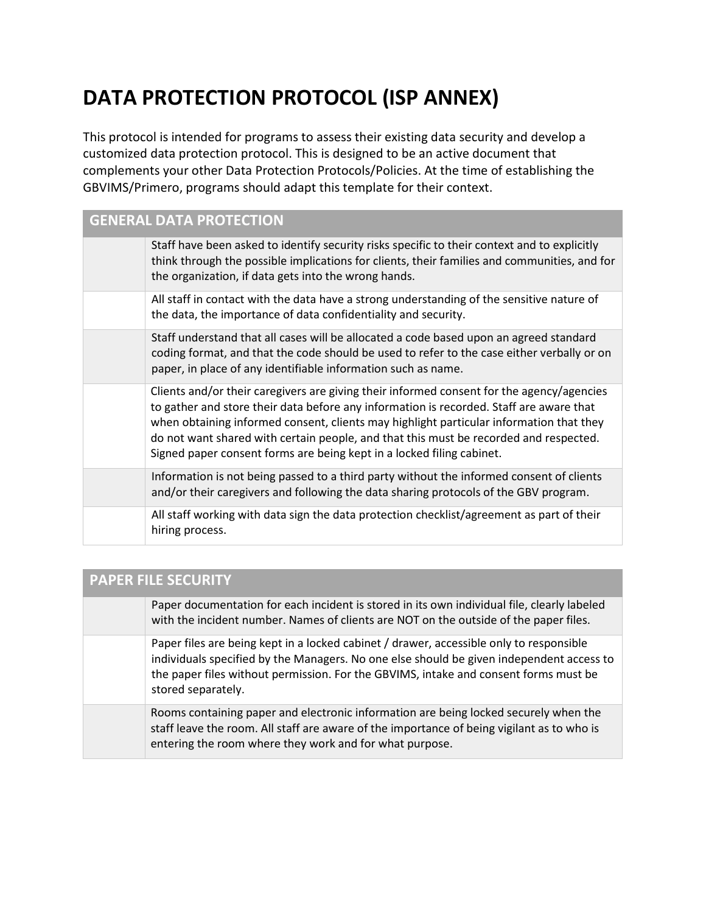## **DATA PROTECTION PROTOCOL (ISP ANNEX)**

This protocol is intended for programs to assess their existing data security and develop a customized data protection protocol. This is designed to be an active document that complements your other Data Protection Protocols/Policies. At the time of establishing the GBVIMS/Primero, programs should adapt this template for their context.

| <b>GENERAL DATA PROTECTION</b> |                                                                                                                                                                                                                                                                                                                                                                                                                                                   |
|--------------------------------|---------------------------------------------------------------------------------------------------------------------------------------------------------------------------------------------------------------------------------------------------------------------------------------------------------------------------------------------------------------------------------------------------------------------------------------------------|
|                                | Staff have been asked to identify security risks specific to their context and to explicitly<br>think through the possible implications for clients, their families and communities, and for<br>the organization, if data gets into the wrong hands.                                                                                                                                                                                              |
|                                | All staff in contact with the data have a strong understanding of the sensitive nature of<br>the data, the importance of data confidentiality and security.                                                                                                                                                                                                                                                                                       |
|                                | Staff understand that all cases will be allocated a code based upon an agreed standard<br>coding format, and that the code should be used to refer to the case either verbally or on<br>paper, in place of any identifiable information such as name.                                                                                                                                                                                             |
|                                | Clients and/or their caregivers are giving their informed consent for the agency/agencies<br>to gather and store their data before any information is recorded. Staff are aware that<br>when obtaining informed consent, clients may highlight particular information that they<br>do not want shared with certain people, and that this must be recorded and respected.<br>Signed paper consent forms are being kept in a locked filing cabinet. |
|                                | Information is not being passed to a third party without the informed consent of clients<br>and/or their caregivers and following the data sharing protocols of the GBV program.                                                                                                                                                                                                                                                                  |
|                                | All staff working with data sign the data protection checklist/agreement as part of their<br>hiring process.                                                                                                                                                                                                                                                                                                                                      |

| <b>PAPER FILE SECURITY</b> |                                                                                                                                                                                                                                                                                                   |
|----------------------------|---------------------------------------------------------------------------------------------------------------------------------------------------------------------------------------------------------------------------------------------------------------------------------------------------|
|                            | Paper documentation for each incident is stored in its own individual file, clearly labeled<br>with the incident number. Names of clients are NOT on the outside of the paper files.                                                                                                              |
|                            | Paper files are being kept in a locked cabinet / drawer, accessible only to responsible<br>individuals specified by the Managers. No one else should be given independent access to<br>the paper files without permission. For the GBVIMS, intake and consent forms must be<br>stored separately. |
|                            | Rooms containing paper and electronic information are being locked securely when the<br>staff leave the room. All staff are aware of the importance of being vigilant as to who is<br>entering the room where they work and for what purpose.                                                     |